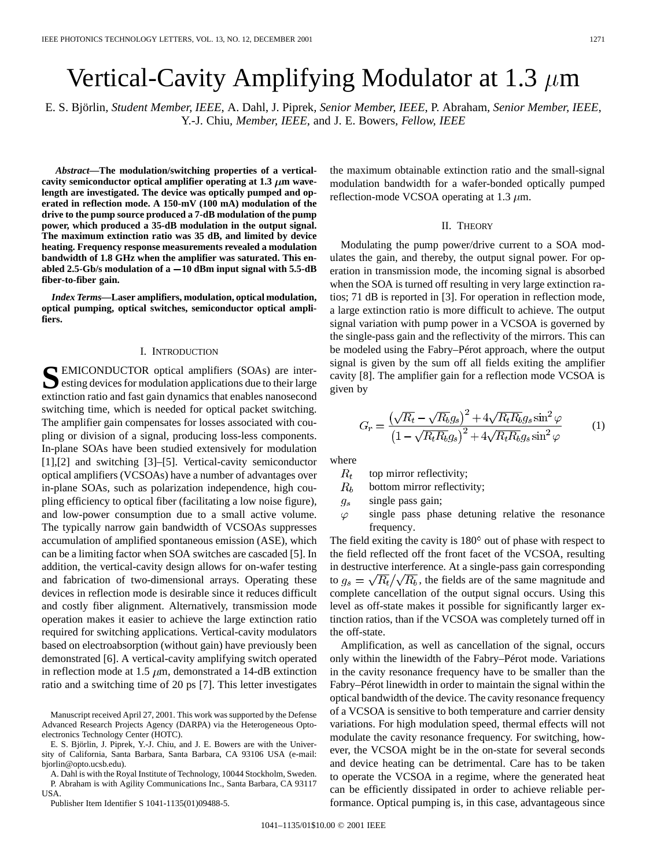# Vertical-Cavity Amplifying Modulator at 1.3  $\mu$ m

E. S. Björlin*, Student Member, IEEE*, A. Dahl, J. Piprek*, Senior Member, IEEE*, P. Abraham*, Senior Member, IEEE*, Y.-J. Chiu*, Member, IEEE*, and J. E. Bowers*, Fellow, IEEE*

*Abstract—***The modulation/switching properties of a vertical**cavity semiconductor optical amplifier operating at  $1.3 \mu$ m wave**length are investigated. The device was optically pumped and operated in reflection mode. A 150-mV (100 mA) modulation of the drive to the pump source produced a 7-dB modulation of the pump power, which produced a 35-dB modulation in the output signal. The maximum extinction ratio was 35 dB, and limited by device heating. Frequency response measurements revealed a modulation bandwidth of 1.8 GHz when the amplifier was saturated. This enabled 2.5-Gb/s modulation of a 10 dBm input signal with 5.5-dB fiber-to-fiber gain.**

*Index Terms—***Laser amplifiers, modulation, optical modulation, optical pumping, optical switches, semiconductor optical amplifiers.**

# I. INTRODUCTION

SEMICONDUCTOR optical amplifiers (SOAs) are inter-<br>esting devices for modulation applications due to their large extinction ratio and fast gain dynamics that enables nanosecond switching time, which is needed for optical packet switching. The amplifier gain compensates for losses associated with coupling or division of a signal, producing loss-less components. In-plane SOAs have been studied extensively for modulation [1],[2] and switching [3]–[5]. Vertical-cavity semiconductor optical amplifiers (VCSOAs) have a number of advantages over in-plane SOAs, such as polarization independence, high coupling efficiency to optical fiber (facilitating a low noise figure), and low-power consumption due to a small active volume. The typically narrow gain bandwidth of VCSOAs suppresses accumulation of amplified spontaneous emission (ASE), which can be a limiting factor when SOA switches are cascaded [5]. In addition, the vertical-cavity design allows for on-wafer testing and fabrication of two-dimensional arrays. Operating these devices in reflection mode is desirable since it reduces difficult and costly fiber alignment. Alternatively, transmission mode operation makes it easier to achieve the large extinction ratio required for switching applications. Vertical-cavity modulators based on electroabsorption (without gain) have previously been demonstrated [6]. A vertical-cavity amplifying switch operated in reflection mode at 1.5  $\mu$ m, demonstrated a 14-dB extinction ratio and a switching time of 20 ps [7]. This letter investigates

Manuscript received April 27, 2001. This work was supported by the Defense Advanced Research Projects Agency (DARPA) via the Heterogeneous Optoelectronics Technology Center (HOTC).

E. S. Björlin, J. Piprek, Y.-J. Chiu, and J. E. Bowers are with the University of California, Santa Barbara, Santa Barbara, CA 93106 USA (e-mail: bjorlin@opto.ucsb.edu).

A. Dahl is with the Royal Institute of Technology, 10044 Stockholm, Sweden. P. Abraham is with Agility Communications Inc., Santa Barbara, CA 93117 USA.

Publisher Item Identifier S 1041-1135(01)09488-5.

the maximum obtainable extinction ratio and the small-signal modulation bandwidth for a wafer-bonded optically pumped reflection-mode VCSOA operating at 1.3  $\mu$ m.

### II. THEORY

Modulating the pump power/drive current to a SOA modulates the gain, and thereby, the output signal power. For operation in transmission mode, the incoming signal is absorbed when the SOA is turned off resulting in very large extinction ratios; 71 dB is reported in [3]. For operation in reflection mode, a large extinction ratio is more difficult to achieve. The output signal variation with pump power in a VCSOA is governed by the single-pass gain and the reflectivity of the mirrors. This can be modeled using the Fabry–Pérot approach, where the output signal is given by the sum off all fields exiting the amplifier cavity [8]. The amplifier gain for a reflection mode VCSOA is given by

$$
G_r = \frac{\left(\sqrt{R_t} - \sqrt{R_b}g_s\right)^2 + 4\sqrt{R_tR_b}g_s\sin^2\varphi}{\left(1 - \sqrt{R_tR_b}g_s\right)^2 + 4\sqrt{R_tR_b}g_s\sin^2\varphi} \tag{1}
$$

where

- $R_t$ top mirror reflectivity;
- $R_b$ bottom mirror reflectivity;
- single pass gain;  $g_s$
- single pass phase detuning relative the resonance  $\varphi$ frequency.

The field exiting the cavity is  $180^\circ$  out of phase with respect to the field reflected off the front facet of the VCSOA, resulting in destructive interference. At a single-pass gain corresponding to  $g_s = \sqrt{R_t}/\sqrt{R_b}$ , the fields are of the same magnitude and complete cancellation of the output signal occurs. Using this level as off-state makes it possible for significantly larger extinction ratios, than if the VCSOA was completely turned off in the off-state.

Amplification, as well as cancellation of the signal, occurs only within the linewidth of the Fabry–Pérot mode. Variations in the cavity resonance frequency have to be smaller than the Fabry–Pérot linewidth in order to maintain the signal within the optical bandwidth of the device. The cavity resonance frequency of a VCSOA is sensitive to both temperature and carrier density variations. For high modulation speed, thermal effects will not modulate the cavity resonance frequency. For switching, however, the VCSOA might be in the on-state for several seconds and device heating can be detrimental. Care has to be taken to operate the VCSOA in a regime, where the generated heat can be efficiently dissipated in order to achieve reliable performance. Optical pumping is, in this case, advantageous since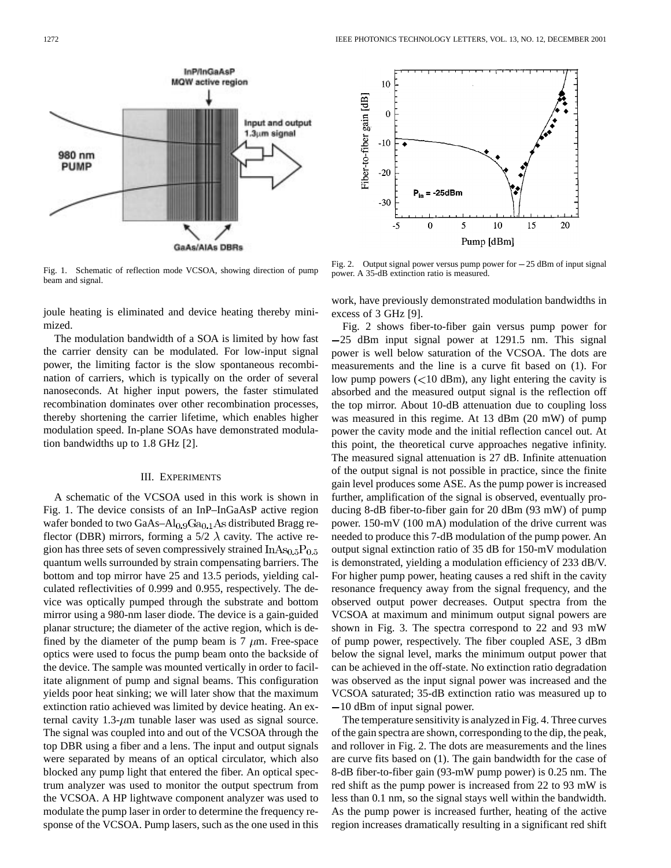

Fig. 1. Schematic of reflection mode VCSOA, showing direction of pump beam and signal.

joule heating is eliminated and device heating thereby minimized.

The modulation bandwidth of a SOA is limited by how fast the carrier density can be modulated. For low-input signal power, the limiting factor is the slow spontaneous recombination of carriers, which is typically on the order of several nanoseconds. At higher input powers, the faster stimulated recombination dominates over other recombination processes, thereby shortening the carrier lifetime, which enables higher modulation speed. In-plane SOAs have demonstrated modulation bandwidths up to 1.8 GHz [2].

## III. EXPERIMENTS

A schematic of the VCSOA used in this work is shown in Fig. 1. The device consists of an InP–InGaAsP active region wafer bonded to two GaAs- $Al<sub>0.9</sub>Ga<sub>0.1</sub>As distributed Bragg re$ flector (DBR) mirrors, forming a 5/2  $\lambda$  cavity. The active region has three sets of seven compressively strained  $InAs<sub>0.5</sub>P<sub>0.5</sub>$ quantum wells surrounded by strain compensating barriers. The bottom and top mirror have 25 and 13.5 periods, yielding calculated reflectivities of 0.999 and 0.955, respectively. The device was optically pumped through the substrate and bottom mirror using a 980-nm laser diode. The device is a gain-guided planar structure; the diameter of the active region, which is defined by the diameter of the pump beam is 7  $\mu$ m. Free-space optics were used to focus the pump beam onto the backside of the device. The sample was mounted vertically in order to facilitate alignment of pump and signal beams. This configuration yields poor heat sinking; we will later show that the maximum extinction ratio achieved was limited by device heating. An external cavity  $1.3$ - $\mu$ m tunable laser was used as signal source. The signal was coupled into and out of the VCSOA through the top DBR using a fiber and a lens. The input and output signals were separated by means of an optical circulator, which also blocked any pump light that entered the fiber. An optical spectrum analyzer was used to monitor the output spectrum from the VCSOA. A HP lightwave component analyzer was used to modulate the pump laser in order to determine the frequency response of the VCSOA. Pump lasers, such as the one used in this



power. A 35-dB extinction ratio is measured.

work, have previously demonstrated modulation bandwidths in excess of 3 GHz [9].

Fig. 2 shows fiber-to-fiber gain versus pump power for  $-25$  dBm input signal power at 1291.5 nm. This signal power is well below saturation of the VCSOA. The dots are measurements and the line is a curve fit based on (1). For low pump powers  $(< 10$  dBm), any light entering the cavity is absorbed and the measured output signal is the reflection off the top mirror. About 10-dB attenuation due to coupling loss was measured in this regime. At 13 dBm (20 mW) of pump power the cavity mode and the initial reflection cancel out. At this point, the theoretical curve approaches negative infinity. The measured signal attenuation is 27 dB. Infinite attenuation of the output signal is not possible in practice, since the finite gain level produces some ASE. As the pump power is increased further, amplification of the signal is observed, eventually producing 8-dB fiber-to-fiber gain for 20 dBm (93 mW) of pump power. 150-mV (100 mA) modulation of the drive current was needed to produce this 7-dB modulation of the pump power. An output signal extinction ratio of 35 dB for 150-mV modulation is demonstrated, yielding a modulation efficiency of 233 dB/V. For higher pump power, heating causes a red shift in the cavity resonance frequency away from the signal frequency, and the observed output power decreases. Output spectra from the VCSOA at maximum and minimum output signal powers are shown in Fig. 3. The spectra correspond to 22 and 93 mW of pump power, respectively. The fiber coupled ASE, 3 dBm below the signal level, marks the minimum output power that can be achieved in the off-state. No extinction ratio degradation was observed as the input signal power was increased and the VCSOA saturated; 35-dB extinction ratio was measured up to  $-10$  dBm of input signal power.

The temperature sensitivity is analyzed in Fig. 4. Three curves of the gain spectra are shown, corresponding to the dip, the peak, and rollover in Fig. 2. The dots are measurements and the lines are curve fits based on (1). The gain bandwidth for the case of 8-dB fiber-to-fiber gain (93-mW pump power) is 0.25 nm. The red shift as the pump power is increased from 22 to 93 mW is less than 0.1 nm, so the signal stays well within the bandwidth. As the pump power is increased further, heating of the active region increases dramatically resulting in a significant red shift